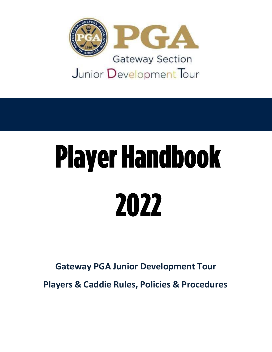

# **Player Handbook** 2022

**Gateway PGA Junior Development Tour Players & Caddie Rules, Policies & Procedures**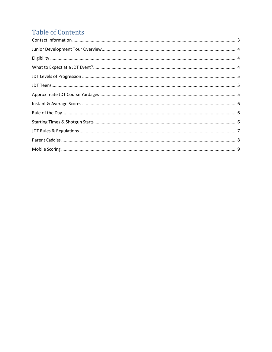# **Table of Contents**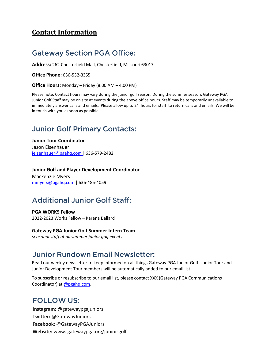### <span id="page-2-0"></span>**Contact Information**

### **Gateway Section PGA Office:**

**Address:** 262 Chesterfield Mall, Chesterfield, Missouri 63017

**Office Phone:** 636-532-3355

**Office Hours:** Monday – Friday (8:00 AM – 4:00 PM)

Please note: Contact hours may vary during the junior golf season. During the summer season, Gateway PGA Junior Golf Staff may be on site at events during the above office hours. Staff may be temporarily unavailable to immediately answer calls and emails. Please allow up to 24 hours for staff to return calls and emails. We will be in touch with you as soon as possible.

### **Junior Golf Primary Contacts:**

**Junior Tour Coordinator** Jason Eisenhauer [jeisenhauer@pgahq.com](mailto:jeisenhauer@pgahq.com) | 636-579-2482

**Junior Golf and Player Development Coordinator** Mackenzie Myers [mmyers@pgahq.com](mailto:mmyers@pgahq.com) | 636-486-4059

## **Additional Junior Golf Staff:**

**PGA WORKS Fellow** 2022-2023 Works Fellow – Karena Ballard

**Gateway PGA Junior Golf Summer Intern Team** *seasonal staff at allsummer junior golf events*

### **Junior Rundown Email Newsletter:**

Read our weekly newsletter to keep informed on all things Gateway PGA Junior Golf! Junior Tour and Junior Development Tour members will be automatically added to our email list.

To subscribe or resubscribe to our email list, please contact XXX (Gateway PGA Communications Coordinator) at [@pgahq.com.](mailto:jguidry@pgahq.com)

### **FOLLOW US:**

**Instagram:** @gatewaypgajuniors **Twitter:** @GatewayJuniors **Facebook:** @GatewayPGAJuniors **Website:** [www.](http://www/) gatewaypga.org/junior-golf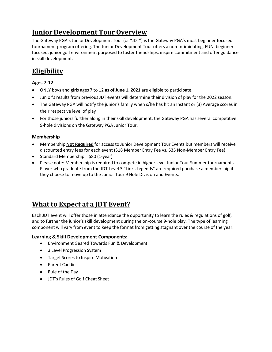# <span id="page-3-0"></span>**Junior Development Tour Overview**

The Gateway PGA's Junior Development Tour (or "JDT") is the Gateway PGA's most beginner focused tournament program offering. The Junior Development Tour offers a non-intimidating, FUN, beginner focused, junior golf environment purposed to foster friendships, inspire commitment and offer guidance in skill development.

# <span id="page-3-1"></span>**Eligibility**

### **Ages 7-12**

- ONLY boys and girls ages 7 to 12 **as of June 1, 2021** are eligible to participate.
- Junior's results from previous JDT events will determine their division of play for the 2022 season.
- The Gateway PGA will notify the junior's family when s/he has hit an Instant or (3) Average scores in their respective level of play
- For those juniors further along in their skill development, the Gateway PGA has several competitive 9-hole divisions on the Gateway PGA Junior Tour.

### **Membership**

- Membership **Not Required** for access to Junior Development Tour Events but members will receive discounted entry fees for each event (\$18 Member Entry Fee vs. \$35 Non-Member Entry Fee)
- Standard Membership = \$80 (1-year)
- Please note: Membership is required to compete in higher level Junior Tour Summer tournaments. Player who graduate from the JDT Level 3 "Links Legends" are required purchase a membership if they choose to move up to the Junior Tour 9 Hole Division and Events.

### <span id="page-3-2"></span>**What to Expect at a JDT Event?**

Each JDT event will offer those in attendance the opportunity to learn the rules & regulations of golf, and to further the junior's skill development during the on-course 9-hole play. The type of learning component will vary from event to keep the format from getting stagnant over the course of the year.

### **Learning & Skill Development Components:**

- Environment Geared Towards Fun & Development
- 3 Level Progression System
- Target Scores to Inspire Motivation
- Parent Caddies
- Rule of the Day
- JDT's Rules of Golf Cheat Sheet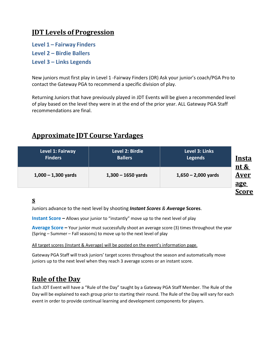### <span id="page-4-0"></span>**JDT Levels of Progression**

**Level 1 – Fairway Finders** 

**Level 2 – Birdie Ballers** 

**Level 3 – Links Legends**

New juniors must first play in Level 1 -Fairway Finders (OR) Ask your junior's coach/PGA Pro to contact the Gateway PGA to recommend a specific division of play.

<span id="page-4-1"></span>Returning Juniors that have previously played in JDT Events will be given a recommended level of play based on the level they were in at the end of the prior year. ALL Gateway PGA Staff recommendations are final.

### <span id="page-4-3"></span>**Approximate JDT Course Yardages**

<span id="page-4-2"></span>

| Level 1: Fairway<br><b>Finders</b> | Level 2: Birdie<br><b>Ballers</b> | Level 3: Links<br><b>Legends</b> | <u>Insta</u>                      |
|------------------------------------|-----------------------------------|----------------------------------|-----------------------------------|
| $1,000 - 1,300$ yards              | $1,300 - 1650$ yards              | $1,650 - 2,000$ yards            | nt &<br><u>Aver</u><br><u>age</u> |
|                                    |                                   |                                  | <b>Score</b>                      |

### **s**

Juniors advance to the next level by shooting *Instant Scores & Average* **Scores**.

**Instant Score –** Allows your junior to "instantly" move up to the next level of play

**Average Score** *–* Your junior must successfully shoot an average score (3) times throughout the year (Spring – Summer – Fall seasons) to move up to the next level of play

All target scores (Instant & Average) will be posted on the event's information page.

Gateway PGA Staff will track juniors' target scores throughout the season and automatically move juniors up to the next level when they reach 3 average scores or an instant score.

### <span id="page-4-4"></span>**Rule of the Day**

<span id="page-4-5"></span>Each JDT Event will have a "Rule of the Day" taught by a Gateway PGA Staff Member. The Rule of the Day will be explained to each group prior to starting their round. The Rule of the Day will vary for each event in order to provide continual learning and development components for players.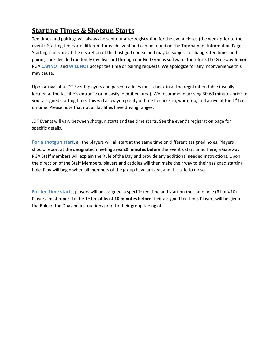# **Starting Times & Shotgun Starts**

Tee times and pairings will always be sent out after registration for the event closes (the week prior to the event). Starting times are different for each event and can be found on the Tournament Information Page. Starting times are at the discretion of the host golf course and may be subject to change. Tee times and pairings are decided randomly (by division) through our Golf Genius software; therefore, the Gateway Junior PGA **CANNOT** and **WILL NOT** accept tee time or pairing requests. We apologize for any inconvenience this may cause.

Upon arrival at a JDT Event, players and parent caddies must check-in at the registration table (usually located at the facilitie's entrance or in easily identified area). We recommend arriving 30-60 minutes prior to your assigned starting time. This will allow you plenty of time to check-in, warm-up, and arrive at the 1<sup>st</sup> tee on time. Please note that not all facilities have driving ranges.

JDT Events will vary between shotgun starts and tee time starts. See the event's registration page for specific details.

**For a shotgun start**, all the players will all start at the same time on different assigned holes. Players should report at the designated meeting area **20 minutes before** the event's start time. Here, a Gateway PGA Staff members will explain the Rule of the Day and provide any additional needed instructions. Upon the direction of the Staff Members, players and caddies will then make their way to their assigned starting hole. Play will begin when all members of the group have arrived, and it is safe to do so.

**For tee time starts**, players will be assigned a specific tee time and start on the same hole (#1 or #10). Players must report to the 1<sup>st</sup> tee at least 10 minutes before their assigned tee time. Players will be given the Rule of the Day and instructions prior to their group teeing off.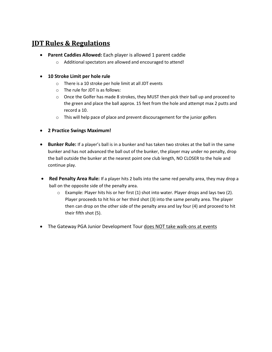### <span id="page-6-0"></span>**JDT Rules & Regulations**

- **Parent Caddies Allowed:** Each player is allowed 1 parent caddie
	- $\circ$  Additional spectators are allowed and encouraged to attend!
- **10 Stroke Limit per hole rule**
	- o There is a 10 stroke per hole limit at all JDT events
	- o The rule for JDT is as follows:
	- $\circ$  Once the Golfer has made 8 strokes, they MUST then pick their ball up and proceed to the green and place the ball approx. 15 feet from the hole and attempt max 2 putts and record a 10.
	- o This will help pace of place and prevent discouragement for the junior golfers
- **2 Practice Swings Maximum!**
- **Bunker Rule:** If a player's ball is in a bunker and has taken two strokes at the ball in the same bunker and has not advanced the ball out of the bunker, the player may under no penalty, drop the ball outside the bunker at the nearest point one club length, NO CLOSER to the hole and continue play.
- **Red Penalty Area Rule:** If a player hits 2 balls into the same red penalty area, they may drop a ball on the opposite side of the penalty area.
	- $\circ$  Example: Player hits his or her first (1) shot into water. Player drops and lays two (2). Player proceeds to hit his or her third shot (3) into the same penalty area. The player then can drop on the other side of the penalty area and lay four (4) and proceed to hit their fifth shot (5).
- The Gateway PGA Junior Development Tour does NOT take walk-ons at events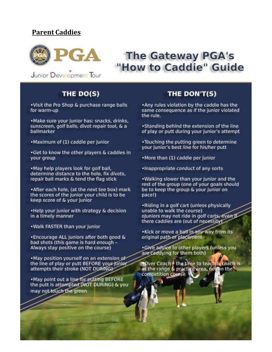### <span id="page-7-0"></span>**Parent Caddies**



# **The Gateway PGA's** "How to Caddie" Guide

Junior Development Tour

### THE DO(S)

. Visit the Pro Shop & purchase range balls for warm-up

. Make sure your junior has: snacks, drinks, sunscreen, golf balls, divot repair tool, & a ballmarker

. Maximum of (1) caddie per junior

.Get to know the other players & caddies in your group

. May help players look for golf ball, determine distance to the hole, fix divots, repair ball marks & tend the flag stick

\*After each hole, (at the next tee box) mark the scores of the junior your child is to be keep score of & your junior

. Help your junior with strategy & decision in a timely manner

. Walk FASTER than your junior

\*Encourage ALL juniors after both good & bad shots (this game is hard enough -Always stay positive on the course)

.May position yourself on an extension of the line of play or putt BEFORE your junior attempts their stroke (NOT DURING)

. May point out a line for putting BEFORE the putt is attempted (NOT DURING) & you may not touch the green

### THE DON'T(S)

\*Any rules violation by the caddie has the same consequence as if the junior violated the rule.

. Standing behind the extension of the line of play or putt during your junior's attempt

. Touching the putting green to determine your junior's best line for his/her putt

•More than (1) caddie per junior

· Inappropriate conduct of any sorts

. Walking slower than your junior and the rest of the group (one of your goals should be to keep the group & your junior on pace!)

. Riding in a golf cart (unless physically unable to walk the course) oJuniors may not ride in golf carts, even if there caddies are (out of necessity)

. Kick or move a ball in any way from its original path or placement

.Give advice to other players (unless you are caddying for them both)

**NOver Coach - the time to teach & coach is** at the range & practice area, not on the competition course